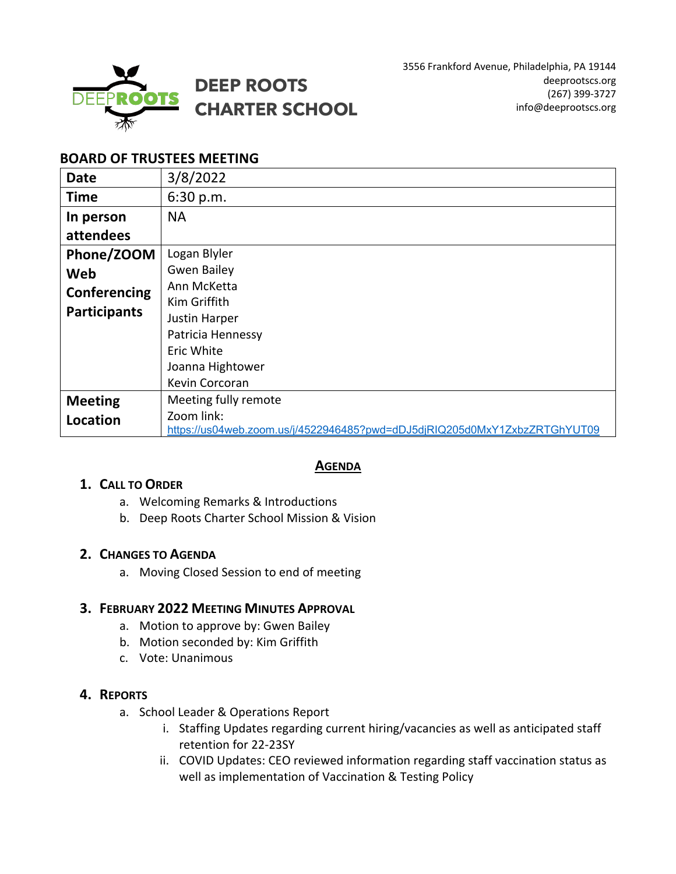

# **BOARD OF TRUSTEES MEETING**

| <b>Date</b>         | 3/8/2022                                                                                |
|---------------------|-----------------------------------------------------------------------------------------|
| <b>Time</b>         | 6:30 p.m.                                                                               |
| In person           | <b>NA</b>                                                                               |
| attendees           |                                                                                         |
| Phone/ZOOM          | Logan Blyler                                                                            |
| Web                 | <b>Gwen Bailey</b>                                                                      |
| Conferencing        | Ann McKetta                                                                             |
| <b>Participants</b> | Kim Griffith                                                                            |
|                     | Justin Harper                                                                           |
|                     | Patricia Hennessy                                                                       |
|                     | Eric White                                                                              |
|                     | Joanna Hightower                                                                        |
|                     | Kevin Corcoran                                                                          |
| <b>Meeting</b>      | Meeting fully remote                                                                    |
| Location            | Zoom link:<br>https://us04web.zoom.us/j/4522946485?pwd=dDJ5djRIQ205d0MxY1ZxbzZRTGhYUT09 |

## **AGENDA**

## **1. CALL TO ORDER**

- a. Welcoming Remarks & Introductions
- b. Deep Roots Charter School Mission & Vision

## **2. CHANGES TO AGENDA**

a. Moving Closed Session to end of meeting

## **3. FEBRUARY 2022 MEETING MINUTES APPROVAL**

- a. Motion to approve by: Gwen Bailey
- b. Motion seconded by: Kim Griffith
- c. Vote: Unanimous

## **4. REPORTS**

- a. School Leader & Operations Report
	- i. Staffing Updates regarding current hiring/vacancies as well as anticipated staff retention for 22-23SY
	- ii. COVID Updates: CEO reviewed information regarding staff vaccination status as well as implementation of Vaccination & Testing Policy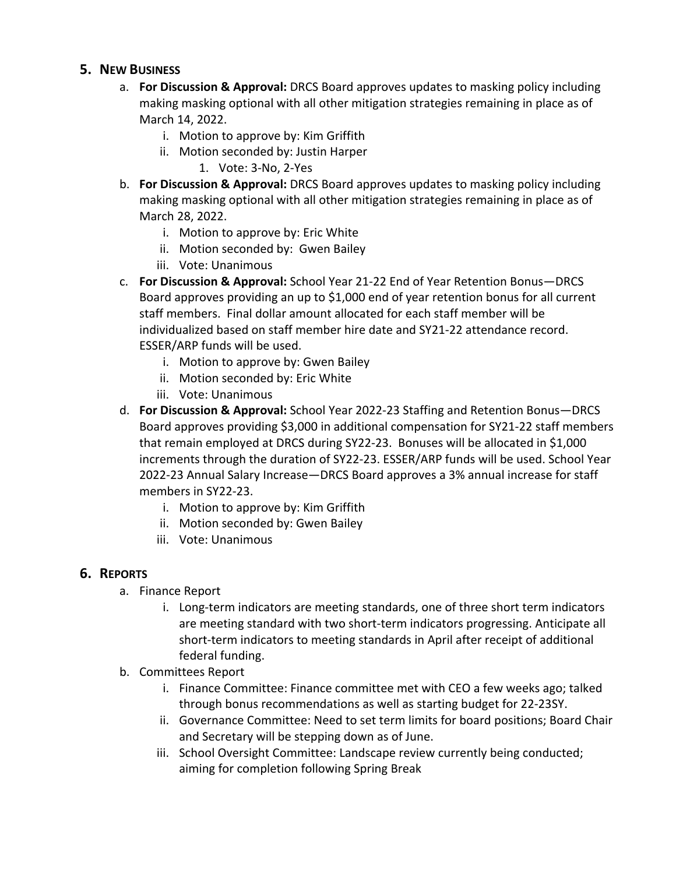## **5. NEW BUSINESS**

- a. **For Discussion & Approval:** DRCS Board approves updates to masking policy including making masking optional with all other mitigation strategies remaining in place as of March 14, 2022.
	- i. Motion to approve by: Kim Griffith
	- ii. Motion seconded by: Justin Harper
		- 1. Vote: 3-No, 2-Yes
- b. **For Discussion & Approval:** DRCS Board approves updates to masking policy including making masking optional with all other mitigation strategies remaining in place as of March 28, 2022.
	- i. Motion to approve by: Eric White
	- ii. Motion seconded by: Gwen Bailey
	- iii. Vote: Unanimous
- c. **For Discussion & Approval:** School Year 21-22 End of Year Retention Bonus—DRCS Board approves providing an up to \$1,000 end of year retention bonus for all current staff members. Final dollar amount allocated for each staff member will be individualized based on staff member hire date and SY21-22 attendance record. ESSER/ARP funds will be used.
	- i. Motion to approve by: Gwen Bailey
	- ii. Motion seconded by: Eric White
	- iii. Vote: Unanimous
- d. **For Discussion & Approval:** School Year 2022-23 Staffing and Retention Bonus—DRCS Board approves providing \$3,000 in additional compensation for SY21-22 staff members that remain employed at DRCS during SY22-23. Bonuses will be allocated in \$1,000 increments through the duration of SY22-23. ESSER/ARP funds will be used. School Year 2022-23 Annual Salary Increase—DRCS Board approves a 3% annual increase for staff members in SY22-23.
	- i. Motion to approve by: Kim Griffith
	- ii. Motion seconded by: Gwen Bailey
	- iii. Vote: Unanimous

## **6. REPORTS**

- a. Finance Report
	- i. Long-term indicators are meeting standards, one of three short term indicators are meeting standard with two short-term indicators progressing. Anticipate all short-term indicators to meeting standards in April after receipt of additional federal funding.
- b. Committees Report
	- i. Finance Committee: Finance committee met with CEO a few weeks ago; talked through bonus recommendations as well as starting budget for 22-23SY.
	- ii. Governance Committee: Need to set term limits for board positions; Board Chair and Secretary will be stepping down as of June.
	- iii. School Oversight Committee: Landscape review currently being conducted; aiming for completion following Spring Break